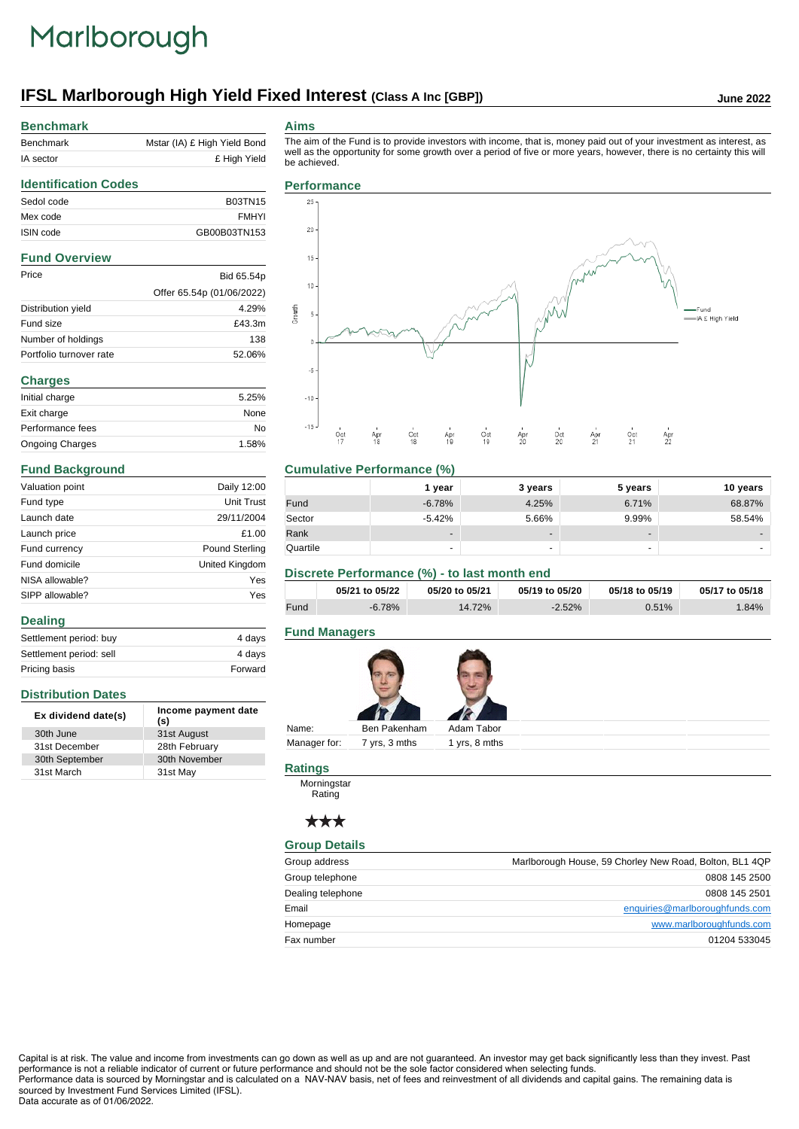# Marlborough

## **IFSL Marlborough High Yield Fixed Interest (Class A Inc [GBP])** June 2022

## **Benchmark**

| Benchmark | Mstar (IA) £ High Yield Bond |
|-----------|------------------------------|
| IA sector | £ High Yield                 |
|           |                              |

#### **Aims**

The aim of the Fund is to provide investors with income, that is, money paid out of your investment as interest, as well as the opportunity for some growth over a period of five or more years, however, there is no certainty this will be achieved.

## **Identification Codes** Sedol code B03TN15 Mex code FMHYI ISIN code GB00B03TN153 **Fund Overview** Price Bid 65.54p Offer 65.54p (01/06/2022) Distribution yield 4.29% Fund size **E43.3m** Number of holdings 138 Portfolio turnover rate 52.06% **Charges** Initial charge 5.25% Exit charge None Performance fees No Ongoing Charges 1.58%

#### **Fund Background**

**Distribution Dates**

31st March

**Dealing**

| Valuation point | Daily 12:00           |
|-----------------|-----------------------|
| Fund type       | <b>Unit Trust</b>     |
| Launch date     | 29/11/2004            |
| Launch price    | £1.00                 |
| Fund currency   | <b>Pound Sterling</b> |
| Fund domicile   | United Kingdom        |
| NISA allowable? | Yes                   |
| SIPP allowable? | Yes                   |

Settlement period: buy 4 days Settlement period: sell 4 days Pricing basis **Forward** 

**Ex dividend date(s) Income payment date (s)**

30th June 31st August 31st December 28th February 30th September 30th November<br>31st March 31st May



#### **Cumulative Performance (%)**

|          | 1 vear                   | 3 years                  | 5 years                  | 10 years |
|----------|--------------------------|--------------------------|--------------------------|----------|
| Fund     | $-6.78%$                 | 4.25%                    | 6.71%                    | 68.87%   |
| Sector   | $-5.42%$                 | 5.66%                    | 9.99%                    | 58.54%   |
| Rank     | $\overline{\phantom{a}}$ | $\overline{\phantom{0}}$ | $\overline{\phantom{a}}$ | -        |
| Quartile | ٠                        | $\overline{\phantom{0}}$ |                          | -        |

#### **Discrete Performance (%) - to last month end**

|      | 05/21 to 05/22 | 05/20 to 05/21 | 05/19 to 05/20 | 05/18 to 05/19 | 05/17 to 05/18 |
|------|----------------|----------------|----------------|----------------|----------------|
| Fund | -6.78%         | 14.72%         | $-2.52%$       | 0.51%          | $.84\%$        |

### **Fund Managers**



Manager for: 7 yrs, 3 mths 1 yrs, 8 mths

#### **Ratings**

Morningstar Rating

### \*\*\*

#### **Group Details**

| Group address     | Marlborough House, 59 Chorley New Road, Bolton, BL1 4QP |
|-------------------|---------------------------------------------------------|
| Group telephone   | 0808 145 2500                                           |
| Dealing telephone | 0808 145 2501                                           |
| Email             | enquiries@marlboroughfunds.com                          |
| Homepage          | www.marlboroughfunds.com                                |
| Fax number        | 01204 533045                                            |

Capital is at risk. The value and income from investments can go down as well as up and are not guaranteed. An investor may get back significantly less than they invest. Past performance is not a reliable indicator of current or future performance and should not be the sole factor considered when selecting funds.

Performance data is sourced by Morningstar and is calculated on a NAV-NAV basis, net of fees and reinvestment of all dividends and capital gains. The remaining data is sourced by Investment Fund Services Limited (IFSL).

#### Data accurate as of 01/06/2022.